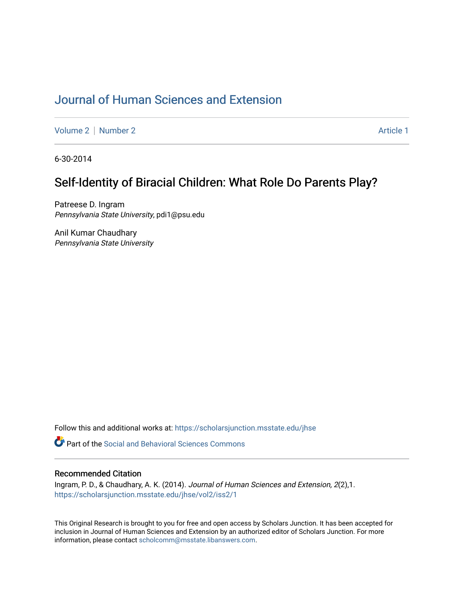# [Journal of Human Sciences and Extension](https://scholarsjunction.msstate.edu/jhse)

[Volume 2](https://scholarsjunction.msstate.edu/jhse/vol2) | [Number 2](https://scholarsjunction.msstate.edu/jhse/vol2/iss2) Article 1

6-30-2014

## Self-Identity of Biracial Children: What Role Do Parents Play?

Patreese D. Ingram Pennsylvania State University, pdi1@psu.edu

Anil Kumar Chaudhary Pennsylvania State University

Follow this and additional works at: [https://scholarsjunction.msstate.edu/jhse](https://scholarsjunction.msstate.edu/jhse?utm_source=scholarsjunction.msstate.edu%2Fjhse%2Fvol2%2Fiss2%2F1&utm_medium=PDF&utm_campaign=PDFCoverPages)

**C** Part of the Social and Behavioral Sciences Commons

#### Recommended Citation

Ingram, P. D., & Chaudhary, A. K. (2014). Journal of Human Sciences and Extension, 2(2),1. [https://scholarsjunction.msstate.edu/jhse/vol2/iss2/1](https://scholarsjunction.msstate.edu/jhse/vol2/iss2/1?utm_source=scholarsjunction.msstate.edu%2Fjhse%2Fvol2%2Fiss2%2F1&utm_medium=PDF&utm_campaign=PDFCoverPages)

This Original Research is brought to you for free and open access by Scholars Junction. It has been accepted for inclusion in Journal of Human Sciences and Extension by an authorized editor of Scholars Junction. For more information, please contact [scholcomm@msstate.libanswers.com](mailto:scholcomm@msstate.libanswers.com).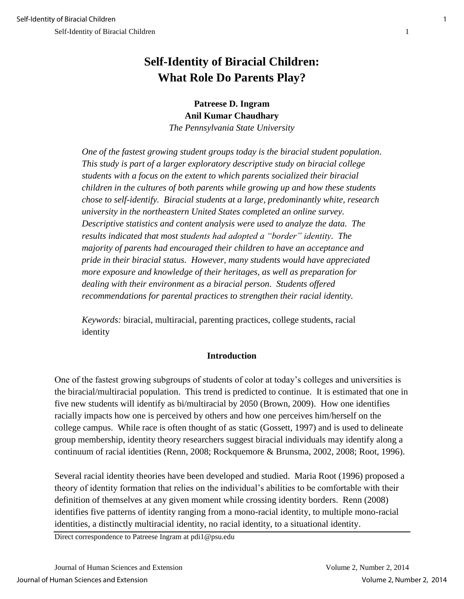# **Self-Identity of Biracial Children: What Role Do Parents Play?**

**Patreese D. Ingram Anil Kumar Chaudhary** *The Pennsylvania State University*

*One of the fastest growing student groups today is the biracial student population. This study is part of a larger exploratory descriptive study on biracial college students with a focus on the extent to which parents socialized their biracial children in the cultures of both parents while growing up and how these students chose to self-identify. Biracial students at a large, predominantly white, research university in the northeastern United States completed an online survey. Descriptive statistics and content analysis were used to analyze the data. The results indicated that most students had adopted a "border" identity. The majority of parents had encouraged their children to have an acceptance and pride in their biracial status. However, many students would have appreciated more exposure and knowledge of their heritages, as well as preparation for dealing with their environment as a biracial person. Students offered recommendations for parental practices to strengthen their racial identity.* 

*Keywords:* biracial, multiracial, parenting practices, college students, racial identity

## **Introduction**

One of the fastest growing subgroups of students of color at today's colleges and universities is the biracial/multiracial population. This trend is predicted to continue. It is estimated that one in five new students will identify as bi/multiracial by 2050 (Brown, 2009). How one identifies racially impacts how one is perceived by others and how one perceives him/herself on the college campus. While race is often thought of as static (Gossett, 1997) and is used to delineate group membership, identity theory researchers suggest biracial individuals may identify along a continuum of racial identities (Renn, 2008; Rockquemore & Brunsma, 2002, 2008; Root, 1996).

Several racial identity theories have been developed and studied. Maria Root (1996) proposed a theory of identity formation that relies on the individual's abilities to be comfortable with their definition of themselves at any given moment while crossing identity borders. Renn (2008) identifies five patterns of identity ranging from a mono-racial identity, to multiple mono-racial identities, a distinctly multiracial identity, no racial identity, to a situational identity.

Direct correspondence to Patreese Ingram at pdi1@psu.edu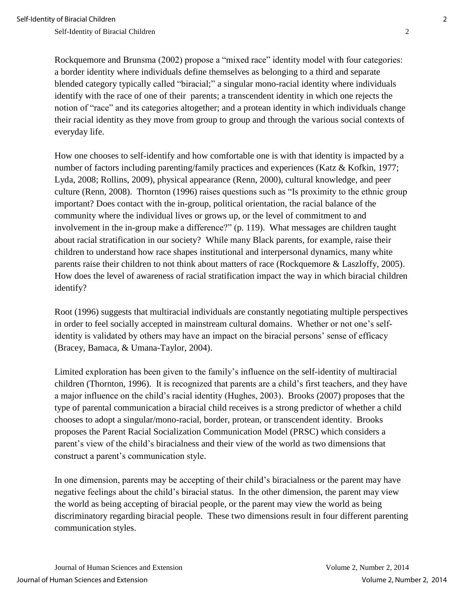Rockquemore and Brunsma (2002) propose a "mixed race" identity model with four categories: a border identity where individuals define themselves as belonging to a third and separate blended category typically called "biracial;" a singular mono-racial identity where individuals identify with the race of one of their parents; a transcendent identity in which one rejects the notion of "race" and its categories altogether; and a protean identity in which individuals change their racial identity as they move from group to group and through the various social contexts of everyday life.

How one chooses to self-identify and how comfortable one is with that identity is impacted by a number of factors including parenting/family practices and experiences (Katz & Kofkin, 1977; Lyda, 2008; Rollins, 2009), physical appearance (Renn, 2000), cultural knowledge, and peer culture (Renn, 2008). Thornton (1996) raises questions such as "Is proximity to the ethnic group important? Does contact with the in-group, political orientation, the racial balance of the community where the individual lives or grows up, or the level of commitment to and involvement in the in-group make a difference?" (p. 119). What messages are children taught about racial stratification in our society? While many Black parents, for example, raise their children to understand how race shapes institutional and interpersonal dynamics, many white parents raise their children to not think about matters of race (Rockquemore & Laszloffy, 2005). How does the level of awareness of racial stratification impact the way in which biracial children identify?

Root (1996) suggests that multiracial individuals are constantly negotiating multiple perspectives in order to feel socially accepted in mainstream cultural domains. Whether or not one's selfidentity is validated by others may have an impact on the biracial persons' sense of efficacy (Bracey, Bamaca, & Umana-Taylor, 2004).

Limited exploration has been given to the family's influence on the self-identity of multiracial children (Thornton, 1996). It is recognized that parents are a child's first teachers, and they have a major influence on the child's racial identity (Hughes, 2003). Brooks (2007) proposes that the type of parental communication a biracial child receives is a strong predictor of whether a child chooses to adopt a singular/mono-racial, border, protean, or transcendent identity. Brooks proposes the Parent Racial Socialization Communication Model (PRSC) which considers a parent's view of the child's biracialness and their view of the world as two dimensions that construct a parent's communication style.

In one dimension, parents may be accepting of their child's biracialness or the parent may have negative feelings about the child's biracial status. In the other dimension, the parent may view the world as being accepting of biracial people, or the parent may view the world as being discriminatory regarding biracial people. These two dimensions result in four different parenting communication styles.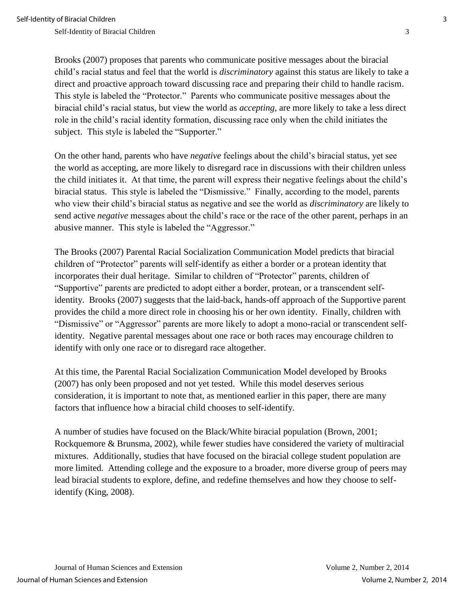Brooks (2007) proposes that parents who communicate positive messages about the biracial child's racial status and feel that the world is *discriminatory* against this status are likely to take a direct and proactive approach toward discussing race and preparing their child to handle racism. This style is labeled the "Protector." Parents who communicate positive messages about the biracial child's racial status, but view the world as *accepting*, are more likely to take a less direct role in the child's racial identity formation, discussing race only when the child initiates the subject. This style is labeled the "Supporter."

On the other hand, parents who have *negative* feelings about the child's biracial status, yet see the world as accepting, are more likely to disregard race in discussions with their children unless the child initiates it. At that time, the parent will express their negative feelings about the child's biracial status. This style is labeled the "Dismissive." Finally, according to the model, parents who view their child's biracial status as negative and see the world as *discriminatory* are likely to send active *negative* messages about the child's race or the race of the other parent, perhaps in an abusive manner. This style is labeled the "Aggressor."

The Brooks (2007) Parental Racial Socialization Communication Model predicts that biracial children of "Protector" parents will self-identify as either a border or a protean identity that incorporates their dual heritage. Similar to children of "Protector" parents, children of "Supportive" parents are predicted to adopt either a border, protean, or a transcendent selfidentity. Brooks (2007) suggests that the laid-back, hands-off approach of the Supportive parent provides the child a more direct role in choosing his or her own identity. Finally, children with "Dismissive" or "Aggressor" parents are more likely to adopt a mono-racial or transcendent selfidentity. Negative parental messages about one race or both races may encourage children to identify with only one race or to disregard race altogether.

At this time, the Parental Racial Socialization Communication Model developed by Brooks (2007) has only been proposed and not yet tested. While this model deserves serious consideration, it is important to note that, as mentioned earlier in this paper, there are many factors that influence how a biracial child chooses to self-identify.

A number of studies have focused on the Black/White biracial population (Brown, 2001; Rockquemore & Brunsma, 2002), while fewer studies have considered the variety of multiracial mixtures. Additionally, studies that have focused on the biracial college student population are more limited. Attending college and the exposure to a broader, more diverse group of peers may lead biracial students to explore, define, and redefine themselves and how they choose to selfidentify (King, 2008).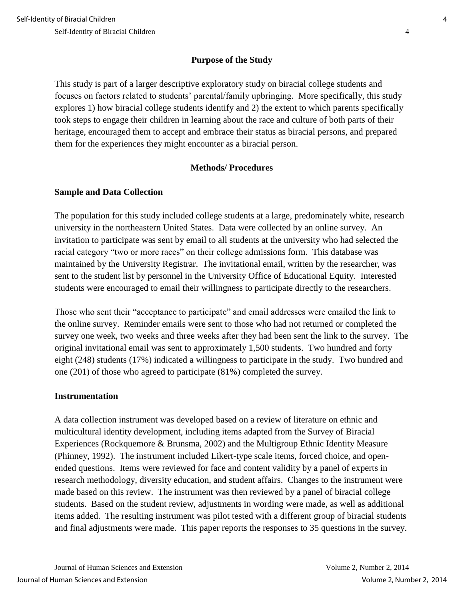## **Purpose of the Study**

This study is part of a larger descriptive exploratory study on biracial college students and focuses on factors related to students' parental/family upbringing. More specifically, this study explores 1) how biracial college students identify and 2) the extent to which parents specifically took steps to engage their children in learning about the race and culture of both parts of their heritage, encouraged them to accept and embrace their status as biracial persons, and prepared them for the experiences they might encounter as a biracial person.

## **Methods/ Procedures**

## **Sample and Data Collection**

The population for this study included college students at a large, predominately white, research university in the northeastern United States. Data were collected by an online survey. An invitation to participate was sent by email to all students at the university who had selected the racial category "two or more races" on their college admissions form. This database was maintained by the University Registrar. The invitational email, written by the researcher, was sent to the student list by personnel in the University Office of Educational Equity. Interested students were encouraged to email their willingness to participate directly to the researchers.

Those who sent their "acceptance to participate" and email addresses were emailed the link to the online survey. Reminder emails were sent to those who had not returned or completed the survey one week, two weeks and three weeks after they had been sent the link to the survey. The original invitational email was sent to approximately 1,500 students. Two hundred and forty eight (248) students (17%) indicated a willingness to participate in the study. Two hundred and one (201) of those who agreed to participate (81%) completed the survey.

## **Instrumentation**

A data collection instrument was developed based on a review of literature on ethnic and multicultural identity development, including items adapted from the Survey of Biracial Experiences (Rockquemore & Brunsma, 2002) and the Multigroup Ethnic Identity Measure (Phinney, 1992). The instrument included Likert-type scale items, forced choice, and openended questions. Items were reviewed for face and content validity by a panel of experts in research methodology, diversity education, and student affairs. Changes to the instrument were made based on this review. The instrument was then reviewed by a panel of biracial college students. Based on the student review, adjustments in wording were made, as well as additional items added. The resulting instrument was pilot tested with a different group of biracial students and final adjustments were made. This paper reports the responses to 35 questions in the survey.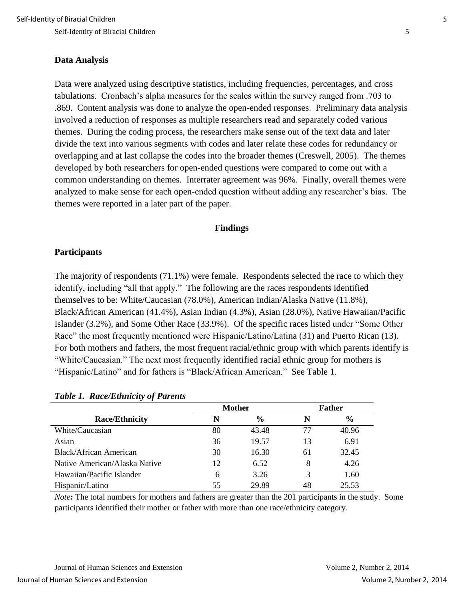#### **Data Analysis**

Data were analyzed using descriptive statistics, including frequencies, percentages, and cross tabulations. Cronbach's alpha measures for the scales within the survey ranged from .703 to .869. Content analysis was done to analyze the open-ended responses. Preliminary data analysis involved a reduction of responses as multiple researchers read and separately coded various themes. During the coding process, the researchers make sense out of the text data and later divide the text into various segments with codes and later relate these codes for redundancy or overlapping and at last collapse the codes into the broader themes (Creswell, 2005). The themes developed by both researchers for open-ended questions were compared to come out with a common understanding on themes. Interrater agreement was 96%. Finally, overall themes were analyzed to make sense for each open-ended question without adding any researcher's bias. The themes were reported in a later part of the paper.

#### **Findings**

#### **Participants**

The majority of respondents (71.1%) were female. Respondents selected the race to which they identify, including "all that apply." The following are the races respondents identified themselves to be: White/Caucasian (78.0%), American Indian/Alaska Native (11.8%), Black/African American (41.4%), Asian Indian (4.3%), Asian (28.0%), Native Hawaiian/Pacific Islander (3.2%), and Some Other Race (33.9%). Of the specific races listed under "Some Other Race" the most frequently mentioned were Hispanic/Latino/Latina (31) and Puerto Rican (13). For both mothers and fathers, the most frequent racial/ethnic group with which parents identify is "White/Caucasian." The next most frequently identified racial ethnic group for mothers is "Hispanic/Latino" and for fathers is "Black/African American." See Table 1.

|                               |    | <b>Mother</b> |    | <b>Father</b> |  |
|-------------------------------|----|---------------|----|---------------|--|
| <b>Race/Ethnicity</b>         | N  | $\frac{0}{0}$ | N  | $\frac{0}{0}$ |  |
| White/Caucasian               | 80 | 43.48         | 77 | 40.96         |  |
| Asian                         | 36 | 19.57         | 13 | 6.91          |  |
| Black/African American        | 30 | 16.30         | 61 | 32.45         |  |
| Native American/Alaska Native | 12 | 6.52          | 8  | 4.26          |  |
| Hawaiian/Pacific Islander     | 6  | 3.26          | 3  | 1.60          |  |
| Hispanic/Latino               | 55 | 29.89         | 48 | 25.53         |  |

#### *Table 1. Race/Ethnicity of Parents*

*Note*: The total numbers for mothers and fathers are greater than the 201 participants in the study. Some participants identified their mother or father with more than one race/ethnicity category.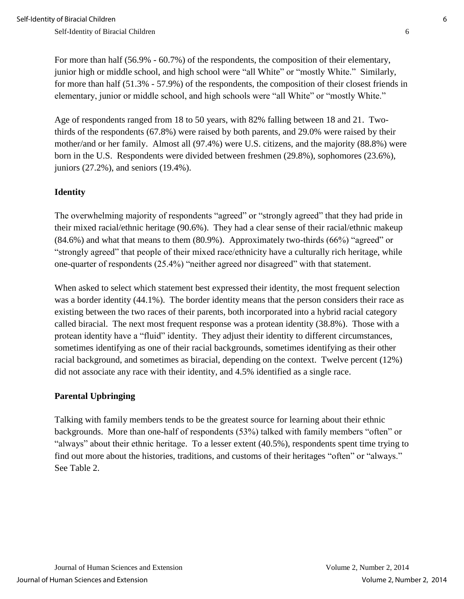For more than half (56.9% - 60.7%) of the respondents, the composition of their elementary, junior high or middle school, and high school were "all White" or "mostly White." Similarly, for more than half (51.3% - 57.9%) of the respondents, the composition of their closest friends in elementary, junior or middle school, and high schools were "all White" or "mostly White."

Age of respondents ranged from 18 to 50 years, with 82% falling between 18 and 21. Twothirds of the respondents (67.8%) were raised by both parents, and 29.0% were raised by their mother/and or her family. Almost all (97.4%) were U.S. citizens, and the majority (88.8%) were born in the U.S. Respondents were divided between freshmen (29.8%), sophomores (23.6%), juniors (27.2%), and seniors (19.4%).

## **Identity**

The overwhelming majority of respondents "agreed" or "strongly agreed" that they had pride in their mixed racial/ethnic heritage (90.6%). They had a clear sense of their racial/ethnic makeup (84.6%) and what that means to them (80.9%). Approximately two-thirds (66%) "agreed" or "strongly agreed" that people of their mixed race/ethnicity have a culturally rich heritage, while one-quarter of respondents (25.4%) "neither agreed nor disagreed" with that statement.

When asked to select which statement best expressed their identity, the most frequent selection was a border identity (44.1%). The border identity means that the person considers their race as existing between the two races of their parents, both incorporated into a hybrid racial category called biracial. The next most frequent response was a protean identity (38.8%). Those with a protean identity have a "fluid" identity. They adjust their identity to different circumstances, sometimes identifying as one of their racial backgrounds, sometimes identifying as their other racial background, and sometimes as biracial, depending on the context. Twelve percent (12%) did not associate any race with their identity, and 4.5% identified as a single race.

## **Parental Upbringing**

Talking with family members tends to be the greatest source for learning about their ethnic backgrounds. More than one-half of respondents (53%) talked with family members "often" or "always" about their ethnic heritage. To a lesser extent (40.5%), respondents spent time trying to find out more about the histories, traditions, and customs of their heritages "often" or "always." See Table 2.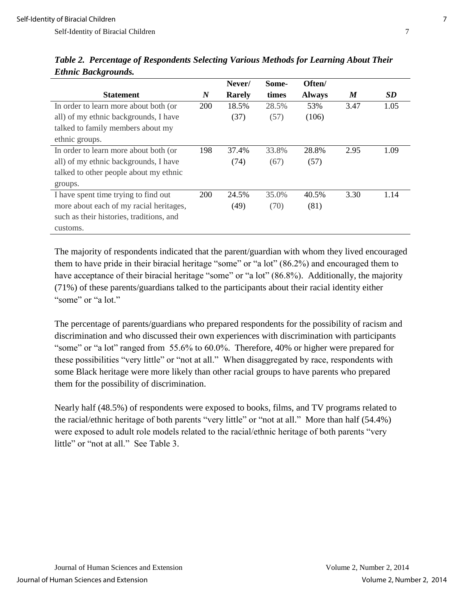Self-Identity of Biracial Children 7 and 7 and 7 and 7 and 7 and 7 and 7 and 7 and 7 and 7 and 7 and 7 and 7 and 7 and 7 and 7 and 7 and 7 and 7 and 7 and 7 and 7 and 7 and 7 and 7 and 7 and 7 and 7 and 7 and 7 and 7 and 7

|                                          |                  | Never/        | Some- | Often/        |                  |           |
|------------------------------------------|------------------|---------------|-------|---------------|------------------|-----------|
| <b>Statement</b>                         | $\boldsymbol{N}$ | <b>Rarely</b> | times | <b>Always</b> | $\boldsymbol{M}$ | <b>SD</b> |
| In order to learn more about both (or    | 200              | 18.5%         | 28.5% | 53%           | 3.47             | 1.05      |
| all) of my ethnic backgrounds, I have    |                  | (37)          | (57)  | (106)         |                  |           |
| talked to family members about my        |                  |               |       |               |                  |           |
| ethnic groups.                           |                  |               |       |               |                  |           |
| In order to learn more about both (or    | 198              | 37.4%         | 33.8% | 28.8%         | 2.95             | 1.09      |
| all) of my ethnic backgrounds, I have    |                  | (74)          | (67)  | (57)          |                  |           |
| talked to other people about my ethnic   |                  |               |       |               |                  |           |
| groups.                                  |                  |               |       |               |                  |           |
| I have spent time trying to find out     | 200              | 24.5%         | 35.0% | 40.5%         | 3.30             | 1.14      |
| more about each of my racial heritages,  |                  | (49)          | (70)  | (81)          |                  |           |
| such as their histories, traditions, and |                  |               |       |               |                  |           |
| customs.                                 |                  |               |       |               |                  |           |

*Table 2. Percentage of Respondents Selecting Various Methods for Learning About Their Ethnic Backgrounds.* 

The majority of respondents indicated that the parent/guardian with whom they lived encouraged them to have pride in their biracial heritage "some" or "a lot" (86.2%) and encouraged them to have acceptance of their biracial heritage "some" or "a lot" (86.8%). Additionally, the majority (71%) of these parents/guardians talked to the participants about their racial identity either "some" or "a lot."

The percentage of parents/guardians who prepared respondents for the possibility of racism and discrimination and who discussed their own experiences with discrimination with participants "some" or "a lot" ranged from 55.6% to 60.0%. Therefore, 40% or higher were prepared for these possibilities "very little" or "not at all." When disaggregated by race, respondents with some Black heritage were more likely than other racial groups to have parents who prepared them for the possibility of discrimination.

Nearly half (48.5%) of respondents were exposed to books, films, and TV programs related to the racial/ethnic heritage of both parents "very little" or "not at all." More than half (54.4%) were exposed to adult role models related to the racial/ethnic heritage of both parents "very little" or "not at all." See Table 3.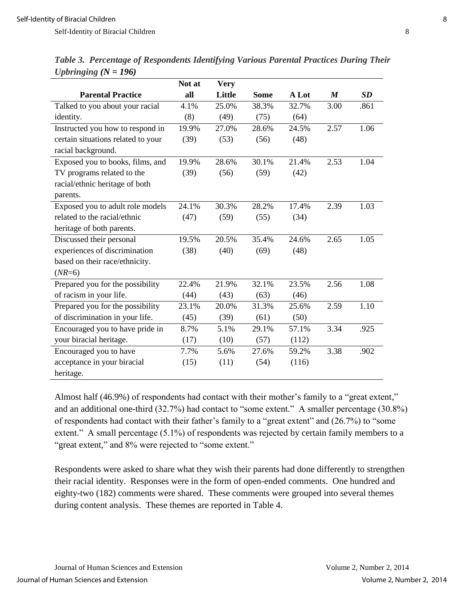| Table 3. Percentage of Respondents Identifying Various Parental Practices During Their |  |  |  |  |
|----------------------------------------------------------------------------------------|--|--|--|--|
| <i>Upbringing</i> $(N = 196)$                                                          |  |  |  |  |

|                                    | Not at | <b>Very</b> |             |       |                  |      |
|------------------------------------|--------|-------------|-------------|-------|------------------|------|
| <b>Parental Practice</b>           | all    | Little      | <b>Some</b> | A Lot | $\boldsymbol{M}$ | SD   |
| Talked to you about your racial    | 4.1%   | 25.0%       | 38.3%       | 32.7% | 3.00             | .861 |
| identity.                          | (8)    | (49)        | (75)        | (64)  |                  |      |
| Instructed you how to respond in   | 19.9%  | 27.0%       | 28.6%       | 24.5% | 2.57             | 1.06 |
| certain situations related to your | (39)   | (53)        | (56)        | (48)  |                  |      |
| racial background.                 |        |             |             |       |                  |      |
| Exposed you to books, films, and   | 19.9%  | 28.6%       | 30.1%       | 21.4% | 2.53             | 1.04 |
| TV programs related to the         | (39)   | (56)        | (59)        | (42)  |                  |      |
| racial/ethnic heritage of both     |        |             |             |       |                  |      |
| parents.                           |        |             |             |       |                  |      |
| Exposed you to adult role models   | 24.1%  | 30.3%       | 28.2%       | 17.4% | 2.39             | 1.03 |
| related to the racial/ethnic       | (47)   | (59)        | (55)        | (34)  |                  |      |
| heritage of both parents.          |        |             |             |       |                  |      |
| Discussed their personal           | 19.5%  | 20.5%       | 35.4%       | 24.6% | 2.65             | 1.05 |
| experiences of discrimination      | (38)   | (40)        | (69)        | (48)  |                  |      |
| based on their race/ethnicity.     |        |             |             |       |                  |      |
| $(NR=6)$                           |        |             |             |       |                  |      |
| Prepared you for the possibility   | 22.4%  | 21.9%       | 32.1%       | 23.5% | 2.56             | 1.08 |
| of racism in your life.            | (44)   | (43)        | (63)        | (46)  |                  |      |
| Prepared you for the possibility   | 23.1%  | 20.0%       | 31.3%       | 25.6% | 2.59             | 1.10 |
| of discrimination in your life.    | (45)   | (39)        | (61)        | (50)  |                  |      |
| Encouraged you to have pride in    | 8.7%   | 5.1%        | 29.1%       | 57.1% | 3.34             | .925 |
| your biracial heritage.            | (17)   | (10)        | (57)        | (112) |                  |      |
| Encouraged you to have             | 7.7%   | 5.6%        | 27.6%       | 59.2% | 3.38             | .902 |
| acceptance in your biracial        | (15)   | (11)        | (54)        | (116) |                  |      |
| heritage.                          |        |             |             |       |                  |      |

Almost half (46.9%) of respondents had contact with their mother's family to a "great extent," and an additional one-third (32.7%) had contact to "some extent." A smaller percentage (30.8%) of respondents had contact with their father's family to a "great extent" and (26.7%) to "some extent." A small percentage (5.1%) of respondents was rejected by certain family members to a "great extent," and 8% were rejected to "some extent."

Respondents were asked to share what they wish their parents had done differently to strengthen their racial identity. Responses were in the form of open-ended comments. One hundred and eighty-two (182) comments were shared. These comments were grouped into several themes during content analysis. These themes are reported in Table 4.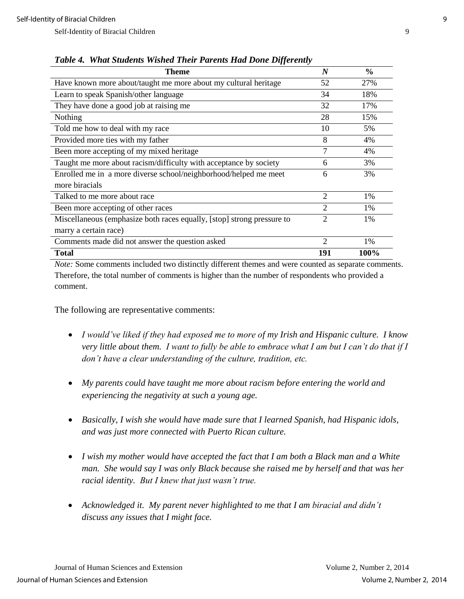| <b>Theme</b>                                                           | $\boldsymbol{N}$            | $\frac{6}{6}$ |
|------------------------------------------------------------------------|-----------------------------|---------------|
| Have known more about/taught me more about my cultural heritage        | 52                          | 27%           |
| Learn to speak Spanish/other language                                  | 34                          | 18%           |
| They have done a good job at raising me                                | 32                          | 17%           |
| Nothing                                                                | 28                          | 15%           |
| Told me how to deal with my race                                       | 10                          | 5%            |
| Provided more ties with my father                                      | 8                           | 4%            |
| Been more accepting of my mixed heritage                               | 7                           | 4%            |
| Taught me more about racism/difficulty with acceptance by society      | 6                           | 3%            |
| Enrolled me in a more diverse school/neighborhood/helped me meet       | 6                           | 3%            |
| more biracials                                                         |                             |               |
| Talked to me more about race                                           | $\overline{2}$              | 1%            |
| Been more accepting of other races                                     | $\overline{2}$              | 1%            |
| Miscellaneous (emphasize both races equally, [stop] strong pressure to | 2                           | 1%            |
| marry a certain race)                                                  |                             |               |
| Comments made did not answer the question asked                        | $\mathcal{D}_{\mathcal{L}}$ | 1%            |
| <b>Total</b>                                                           | 191                         | 100%          |

*Table 4. What Students Wished Their Parents Had Done Differently* 

*Note:* Some comments included two distinctly different themes and were counted as separate comments. Therefore, the total number of comments is higher than the number of respondents who provided a comment.

The following are representative comments:

- *I would've liked if they had exposed me to more of my Irish and Hispanic culture. I know very little about them. I want to fully be able to embrace what I am but I can't do that if I don't have a clear understanding of the culture, tradition, etc.*
- *My parents could have taught me more about racism before entering the world and experiencing the negativity at such a young age.*
- *Basically, I wish she would have made sure that I learned Spanish, had Hispanic idols, and was just more connected with Puerto Rican culture.*
- *I wish my mother would have accepted the fact that I am both a Black man and a White man. She would say I was only Black because she raised me by herself and that was her racial identity. But I knew that just wasn't true.*
- Acknowledged it. My parent never highlighted to me that I am biracial and didn't *discuss any issues that I might face.*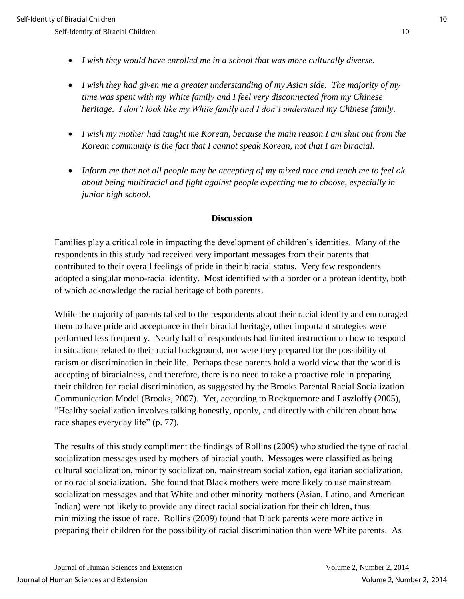- *I wish they would have enrolled me in a school that was more culturally diverse.*
- *I wish they had given me a greater understanding of my Asian side. The majority of my time was spent with my White family and I feel very disconnected from my Chinese heritage. I don't look like my White family and I don't understand my Chinese family.*
- *I wish my mother had taught me Korean, because the main reason I am shut out from the Korean community is the fact that I cannot speak Korean, not that I am biracial.*
- *Inform me that not all people may be accepting of my mixed race and teach me to feel ok about being multiracial and fight against people expecting me to choose, especially in junior high school.*

## **Discussion**

Families play a critical role in impacting the development of children's identities. Many of the respondents in this study had received very important messages from their parents that contributed to their overall feelings of pride in their biracial status. Very few respondents adopted a singular mono-racial identity. Most identified with a border or a protean identity, both of which acknowledge the racial heritage of both parents.

While the majority of parents talked to the respondents about their racial identity and encouraged them to have pride and acceptance in their biracial heritage, other important strategies were performed less frequently. Nearly half of respondents had limited instruction on how to respond in situations related to their racial background, nor were they prepared for the possibility of racism or discrimination in their life. Perhaps these parents hold a world view that the world is accepting of biracialness, and therefore, there is no need to take a proactive role in preparing their children for racial discrimination, as suggested by the Brooks Parental Racial Socialization Communication Model (Brooks, 2007). Yet, according to Rockquemore and Laszloffy (2005), "Healthy socialization involves talking honestly, openly, and directly with children about how race shapes everyday life" (p. 77).

The results of this study compliment the findings of Rollins (2009) who studied the type of racial socialization messages used by mothers of biracial youth. Messages were classified as being cultural socialization, minority socialization, mainstream socialization, egalitarian socialization, or no racial socialization. She found that Black mothers were more likely to use mainstream socialization messages and that White and other minority mothers (Asian, Latino, and American Indian) were not likely to provide any direct racial socialization for their children, thus minimizing the issue of race. Rollins (2009) found that Black parents were more active in preparing their children for the possibility of racial discrimination than were White parents. As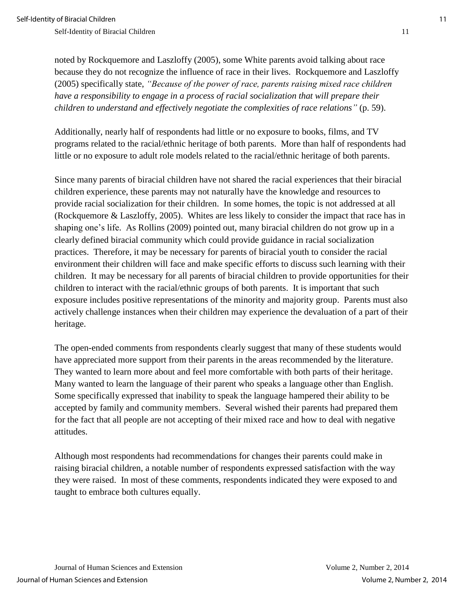Self-Identity of Biracial Children 11 and 12 and 2012 11 and 2012 12 and 2013 12 and 2014 12 and 2014 12 and 2014 12 and 2014 12 and 2014 12 and 2014 12 and 2014 12 and 2014 12 and 2014 12 and 2014 12 and 2014 12 and 2014

noted by Rockquemore and Laszloffy (2005), some White parents avoid talking about race because they do not recognize the influence of race in their lives. Rockquemore and Laszloffy (2005) specifically state, *"Because of the power of race, parents raising mixed race children have a responsibility to engage in a process of racial socialization that will prepare their children to understand and effectively negotiate the complexities of race relations"* (p. 59).

Additionally, nearly half of respondents had little or no exposure to books, films, and TV programs related to the racial/ethnic heritage of both parents. More than half of respondents had little or no exposure to adult role models related to the racial/ethnic heritage of both parents.

Since many parents of biracial children have not shared the racial experiences that their biracial children experience, these parents may not naturally have the knowledge and resources to provide racial socialization for their children. In some homes, the topic is not addressed at all (Rockquemore & Laszloffy, 2005). Whites are less likely to consider the impact that race has in shaping one's life. As Rollins (2009) pointed out, many biracial children do not grow up in a clearly defined biracial community which could provide guidance in racial socialization practices. Therefore, it may be necessary for parents of biracial youth to consider the racial environment their children will face and make specific efforts to discuss such learning with their children. It may be necessary for all parents of biracial children to provide opportunities for their children to interact with the racial/ethnic groups of both parents. It is important that such exposure includes positive representations of the minority and majority group. Parents must also actively challenge instances when their children may experience the devaluation of a part of their heritage.

The open-ended comments from respondents clearly suggest that many of these students would have appreciated more support from their parents in the areas recommended by the literature. They wanted to learn more about and feel more comfortable with both parts of their heritage. Many wanted to learn the language of their parent who speaks a language other than English. Some specifically expressed that inability to speak the language hampered their ability to be accepted by family and community members. Several wished their parents had prepared them for the fact that all people are not accepting of their mixed race and how to deal with negative attitudes.

Although most respondents had recommendations for changes their parents could make in raising biracial children, a notable number of respondents expressed satisfaction with the way they were raised. In most of these comments, respondents indicated they were exposed to and taught to embrace both cultures equally.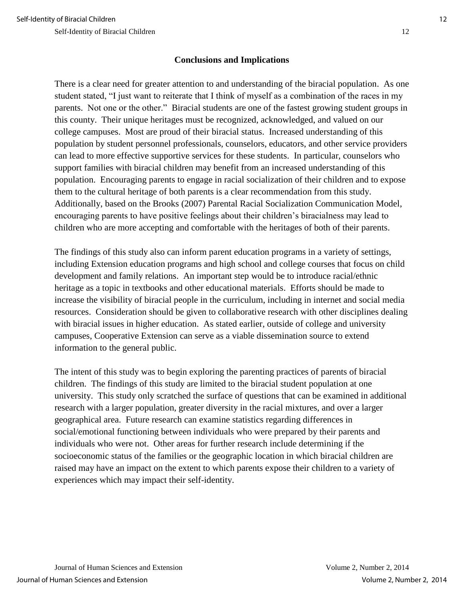## **Conclusions and Implications**

There is a clear need for greater attention to and understanding of the biracial population. As one student stated, "I just want to reiterate that I think of myself as a combination of the races in my parents. Not one or the other." Biracial students are one of the fastest growing student groups in this county. Their unique heritages must be recognized, acknowledged, and valued on our college campuses. Most are proud of their biracial status. Increased understanding of this population by student personnel professionals, counselors, educators, and other service providers can lead to more effective supportive services for these students. In particular, counselors who support families with biracial children may benefit from an increased understanding of this population. Encouraging parents to engage in racial socialization of their children and to expose them to the cultural heritage of both parents is a clear recommendation from this study. Additionally, based on the Brooks (2007) Parental Racial Socialization Communication Model, encouraging parents to have positive feelings about their children's biracialness may lead to children who are more accepting and comfortable with the heritages of both of their parents.

The findings of this study also can inform parent education programs in a variety of settings, including Extension education programs and high school and college courses that focus on child development and family relations. An important step would be to introduce racial/ethnic heritage as a topic in textbooks and other educational materials. Efforts should be made to increase the visibility of biracial people in the curriculum, including in internet and social media resources. Consideration should be given to collaborative research with other disciplines dealing with biracial issues in higher education. As stated earlier, outside of college and university campuses, Cooperative Extension can serve as a viable dissemination source to extend information to the general public.

The intent of this study was to begin exploring the parenting practices of parents of biracial children. The findings of this study are limited to the biracial student population at one university. This study only scratched the surface of questions that can be examined in additional research with a larger population, greater diversity in the racial mixtures, and over a larger geographical area. Future research can examine statistics regarding differences in social/emotional functioning between individuals who were prepared by their parents and individuals who were not. Other areas for further research include determining if the socioeconomic status of the families or the geographic location in which biracial children are raised may have an impact on the extent to which parents expose their children to a variety of experiences which may impact their self-identity.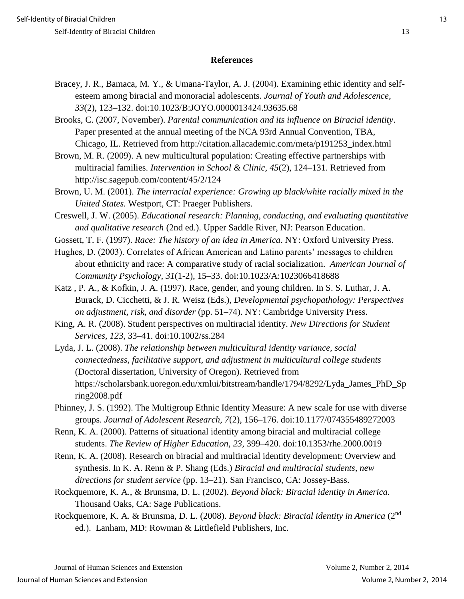## **References**

Bracey, J. R., Bamaca, M. Y., & Umana-Taylor, A. J. (2004). Examining ethic identity and selfesteem among biracial and monoracial adolescents. *Journal of Youth and Adolescence, 33*(2), 123–132. doi:10.1023/B:JOYO.0000013424.93635.68

Brooks, C. (2007, November). *Parental communication and its influence on Biracial identity*. Paper presented at the annual meeting of the NCA 93rd Annual Convention, TBA, Chicago, IL. Retrieved from http://citation.allacademic.com/meta/p191253\_index.html

Brown, M. R. (2009). A new multicultural population: Creating effective partnerships with multiracial families. *Intervention in School & Clinic, 45*(2), 124–131. Retrieved from http://isc.sagepub.com/content/45/2/124

Brown, U. M. (2001). *The interracial experience: Growing up black/white racially mixed in the United States.* Westport, CT: Praeger Publishers.

Creswell, J. W. (2005). *Educational research: Planning, conducting, and evaluating quantitative and qualitative research* (2nd ed.). Upper Saddle River, NJ: Pearson Education.

Gossett, T. F. (1997). *Race: The history of an idea in America*. NY: Oxford University Press.

Hughes, D. (2003). Correlates of African American and Latino parents' messages to children about ethnicity and race: A comparative study of racial socialization. *American Journal of Community Psychology*, *31*(1-2), 15–33. doi:10.1023/A:1023066418688

Katz , P. A., & Kofkin, J. A. (1997). Race, gender, and young children. In S. S. Luthar, J. A. Burack, D. Cicchetti, & J. R. Weisz (Eds.), *Developmental psychopathology: Perspectives on adjustment, risk, and disorder* (pp. 51–74). NY: Cambridge University Press.

King, A. R. (2008). Student perspectives on multiracial identity. *New Directions for Student Services, 123*, 33–41. doi:10.1002/ss.284

Lyda, J. L. (2008). *The relationship between multicultural identity variance, social connectedness, facilitative support, and adjustment in multicultural college students* (Doctoral dissertation, University of Oregon). Retrieved from https://scholarsbank.uoregon.edu/xmlui/bitstream/handle/1794/8292/Lyda\_James\_PhD\_Sp ring2008.pdf

Phinney, J. S. (1992). The Multigroup Ethnic Identity Measure: A new scale for use with diverse groups. *Journal of Adolescent Research, 7*(2), 156–176. doi:10.1177/074355489272003

Renn, K. A. (2000). Patterns of situational identity among biracial and multiracial college students. *The Review of Higher Education, 23,* 399–420. doi:10.1353/rhe.2000.0019

Renn, K. A. (2008). Research on biracial and multiracial identity development: Overview and synthesis. In K. A. Renn & P. Shang (Eds.) *Biracial and multiracial students, new directions for student service* (pp. 13–21)*.* San Francisco, CA: Jossey-Bass.

Rockquemore, K. A., & Brunsma, D. L. (2002). *Beyond black: Biracial identity in America.* Thousand Oaks, CA: Sage Publications.

Rockquemore, K. A. & Brunsma, D. L. (2008). *Beyond black: Biracial identity in America* (2nd ed.). Lanham, MD: Rowman & Littlefield Publishers, Inc.

Journal of Human Sciences and Extension Volume 2, Number 2, 2014